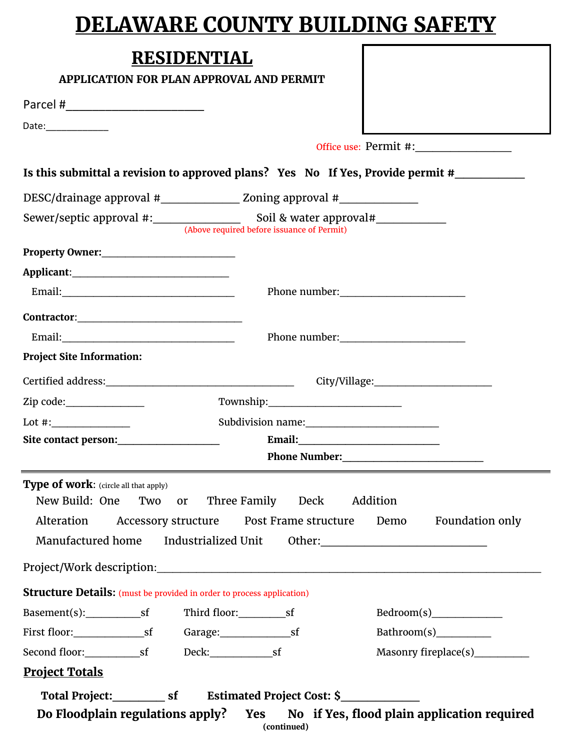## **DELAWARE COUNTY BUILDING SAFETY**

F

| <b>RESIDENTIAI</b> |  |
|--------------------|--|
|--------------------|--|

| <b>RESIDENTIAL</b>                                                                                                                                                                                                                                                                                                                                                                             |                                 |
|------------------------------------------------------------------------------------------------------------------------------------------------------------------------------------------------------------------------------------------------------------------------------------------------------------------------------------------------------------------------------------------------|---------------------------------|
| <b>APPLICATION FOR PLAN APPROVAL AND PERMIT</b>                                                                                                                                                                                                                                                                                                                                                |                                 |
|                                                                                                                                                                                                                                                                                                                                                                                                |                                 |
| Date:______________                                                                                                                                                                                                                                                                                                                                                                            |                                 |
|                                                                                                                                                                                                                                                                                                                                                                                                | Office use: Permit #:           |
| Is this submittal a revision to approved plans? Yes No If Yes, Provide permit #____________                                                                                                                                                                                                                                                                                                    |                                 |
| DESC/drainage approval #__________________ Zoning approval #____________________                                                                                                                                                                                                                                                                                                               |                                 |
|                                                                                                                                                                                                                                                                                                                                                                                                |                                 |
|                                                                                                                                                                                                                                                                                                                                                                                                |                                 |
|                                                                                                                                                                                                                                                                                                                                                                                                |                                 |
|                                                                                                                                                                                                                                                                                                                                                                                                |                                 |
|                                                                                                                                                                                                                                                                                                                                                                                                |                                 |
| $\text{Contractor:}\n \begin{picture}(150,10) \put(0,0){\dashbox{0.5}(10,0){10}} \put(15,0){\circle*{2}} \put(15,0){\circle*{2}} \put(15,0){\circle*{2}} \put(15,0){\circle*{2}} \put(15,0){\circle*{2}} \put(15,0){\circle*{2}} \put(15,0){\circle*{2}} \put(15,0){\circle*{2}} \put(15,0){\circle*{2}} \put(15,0){\circle*{2}} \put(15,0){\circle*{2}} \put(15,0){\circle*{2}} \put(15,0){\$ |                                 |
|                                                                                                                                                                                                                                                                                                                                                                                                |                                 |
| <b>Project Site Information:</b>                                                                                                                                                                                                                                                                                                                                                               |                                 |
|                                                                                                                                                                                                                                                                                                                                                                                                |                                 |
| Zip code:________________                                                                                                                                                                                                                                                                                                                                                                      |                                 |
| Lot #: $\qquad \qquad$                                                                                                                                                                                                                                                                                                                                                                         |                                 |
| Site contact person: ____________________                                                                                                                                                                                                                                                                                                                                                      |                                 |
|                                                                                                                                                                                                                                                                                                                                                                                                |                                 |
| Type of work: (circle all that apply)<br>New Build: One Two<br>or Three Family Deck Addition<br>Accessory structure  Post Frame structure  Demo<br>Alteration                                                                                                                                                                                                                                  | Foundation only                 |
| Manufactured home Industrialized Unit Other: 1990 Manufactured home Industrialized Unit Other:                                                                                                                                                                                                                                                                                                 |                                 |
|                                                                                                                                                                                                                                                                                                                                                                                                |                                 |
| <b>Structure Details:</b> (must be provided in order to process application)                                                                                                                                                                                                                                                                                                                   |                                 |
|                                                                                                                                                                                                                                                                                                                                                                                                |                                 |
|                                                                                                                                                                                                                                                                                                                                                                                                |                                 |
|                                                                                                                                                                                                                                                                                                                                                                                                | Masonry fireplace(s)___________ |
| <b>Project Totals</b>                                                                                                                                                                                                                                                                                                                                                                          |                                 |
|                                                                                                                                                                                                                                                                                                                                                                                                |                                 |
| Do Floodplain regulations apply? Yes No if Yes, flood plain application required                                                                                                                                                                                                                                                                                                               |                                 |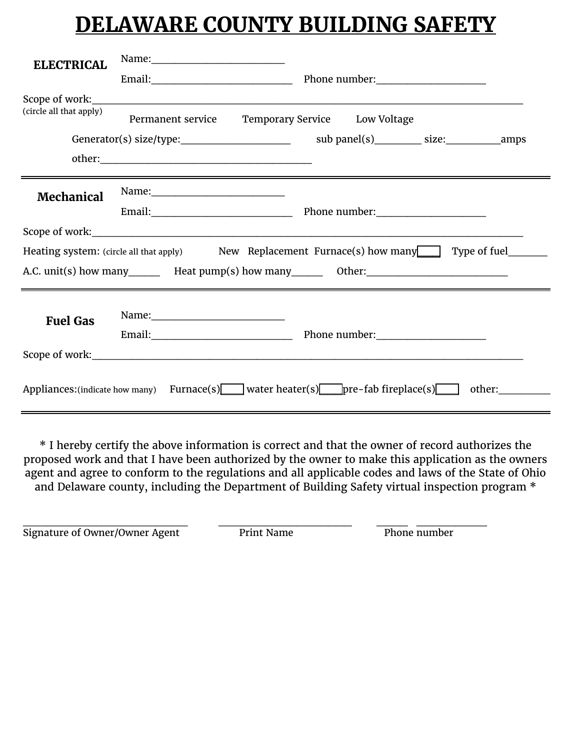## **DELAWARE COUNTY BUILDING SAFETY**

| <b>ELECTRICAL</b>                                                                           |                   |                                                                                        |  |  |  |
|---------------------------------------------------------------------------------------------|-------------------|----------------------------------------------------------------------------------------|--|--|--|
|                                                                                             |                   |                                                                                        |  |  |  |
| (circle all that apply)                                                                     | Permanent service | Temporary Service Low Voltage                                                          |  |  |  |
|                                                                                             |                   |                                                                                        |  |  |  |
|                                                                                             |                   |                                                                                        |  |  |  |
| <b>Mechanical</b>                                                                           |                   |                                                                                        |  |  |  |
|                                                                                             |                   |                                                                                        |  |  |  |
|                                                                                             |                   |                                                                                        |  |  |  |
| Type of fuel<br>Heating system: (circle all that apply) New Replacement Furnace(s) how many |                   |                                                                                        |  |  |  |
|                                                                                             |                   |                                                                                        |  |  |  |
| <b>Fuel Gas</b>                                                                             |                   |                                                                                        |  |  |  |
|                                                                                             |                   |                                                                                        |  |  |  |
|                                                                                             |                   |                                                                                        |  |  |  |
|                                                                                             |                   | Appliances: (indicate how many) Furnace(s) water heater(s) pre-fab fireplace(s) other: |  |  |  |

\* I hereby certify the above information is correct and that the owner of record authorizes the proposed work and that I have been authorized by the owner to make this application as the owners agent and agree to conform to the regulations and all applicable codes and laws of the State of Ohio and Delaware county, including the Department of Building Safety virtual inspection program \*

Signature of Owner/Owner Agent Print Name Phone number \_\_\_\_\_\_\_\_\_\_\_\_\_\_\_\_\_\_\_\_\_ \_\_\_\_\_\_\_\_\_\_\_\_\_\_\_\_\_ \_\_\_\_ \_\_\_\_\_\_\_\_\_